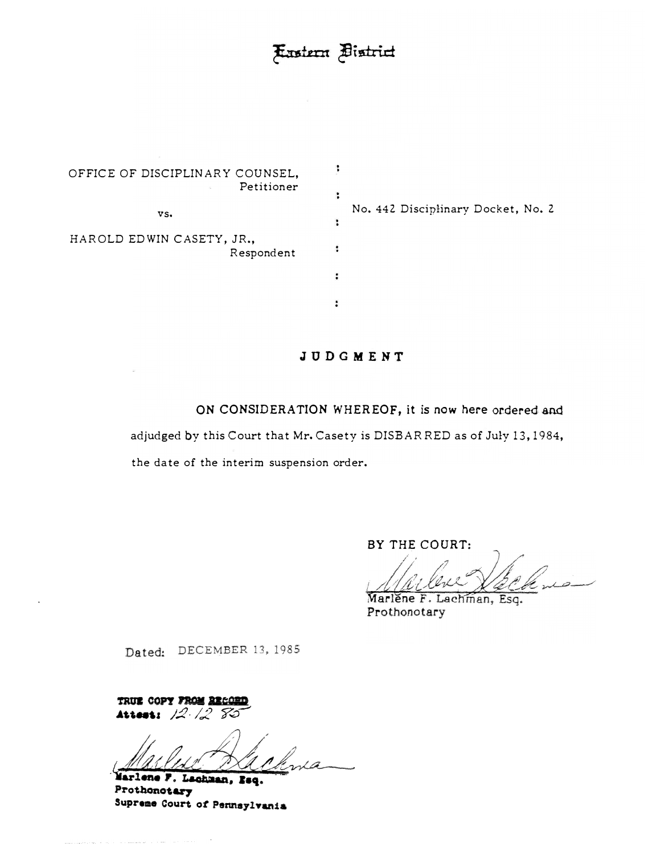:

:

:

 $\ddot{\phantom{a}}$ 

 $\ddot{\phantom{a}}$ 

OFFICE OF DISCIPLINARY COUNSEL, Petitioner vs.HAROLD EDWIN CASETY, JR., Respondent

No. 442 Disciplinary Docket, No. 2

# **JUDGMENT**

ON CONSIDERATION WHEREOF, it is now here ordered and

adjudged by this Court that Mr. Casety is DISBARRED as of July 13, 1984,

the date of the interim suspension order.

BY THE COURT:

Marlene F. Lachman, Esq. Prothonotary

Dated: DECEMBER 13, 1985

**TRUE COPY FROM RECORD .&t,t. ... ,** *J.:2, 12* **?..;?\_.,** 

*Marlene P. Lachman, Baq.* Prothonotary Supreme Court of Pennsylvania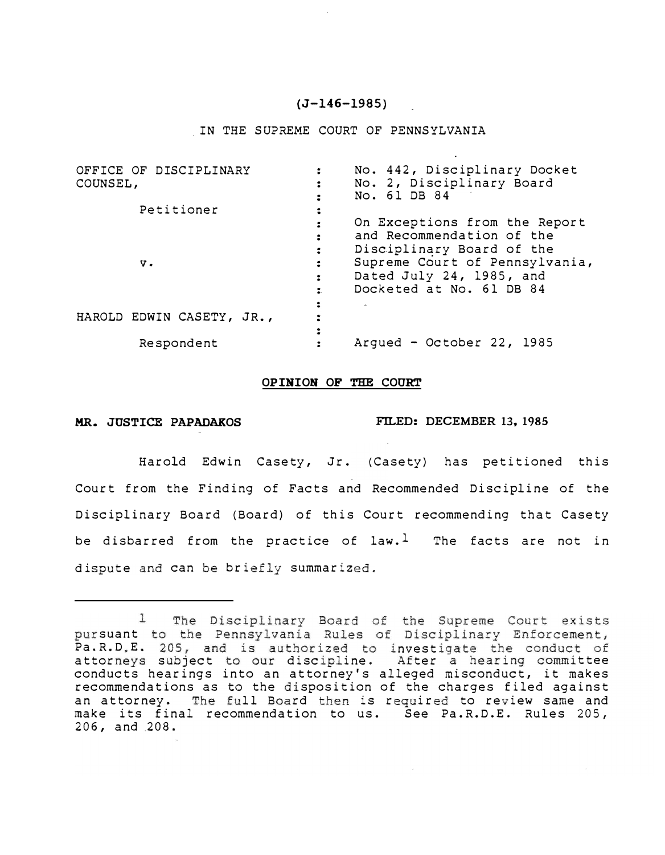### **(J-146-1985)**

#### IN THE SUPREME COURT OF PENNSYLVANIA

| OFFICE OF DISCIPLINARY    | No. 442, Disciplinary Docket   |
|---------------------------|--------------------------------|
| COUNSEL,                  | No. 2, Disciplinary Board      |
|                           | No. 61 DB 84                   |
| Petitioner                |                                |
|                           | On Exceptions from the Report  |
|                           | and Recommendation of the      |
|                           | Disciplinary Board of the      |
| v.                        | Supreme Court of Pennsylvania, |
|                           | Dated July 24, 1985, and       |
|                           | Docketed at No. 61 DB 84       |
|                           |                                |
| HAROLD EDWIN CASETY, JR., |                                |
|                           |                                |
| Respondent                | Argued - October 22, 1985      |
|                           |                                |

#### **OPINION OF THE COURT**

#### **MR. JUSTICE PAPADAKOS FILED: DECEMBER 13,. 1985**

Harold Edwin Casety, Jr. (Casety) has petitioned this Court from the Finding of Facts and Recommended Discipline of the Disciplinary Board (Board) of this Court recommending that Casety be disbarred from the practice of law.<sup>1</sup> The facts are not in dispute and can be briefly summarized.

 $\perp$ The Disciplinary Board of the Supreme Court exists pursuant to the Pennsylvania Rules of Disciplinary Enforcement, Pa.R.D.E. 205, and is authorized to investigate the conduct of attorneys subject to our discipline. After a hearing committee conducts hearings into an attorney's alleged misconduct, it makes recommendations as to the disposition of the charges filed against an attorney. The full Board then is required to review same and make its final recommendation to us. See Pa.R.D.E. Rules 205, 206, and .208.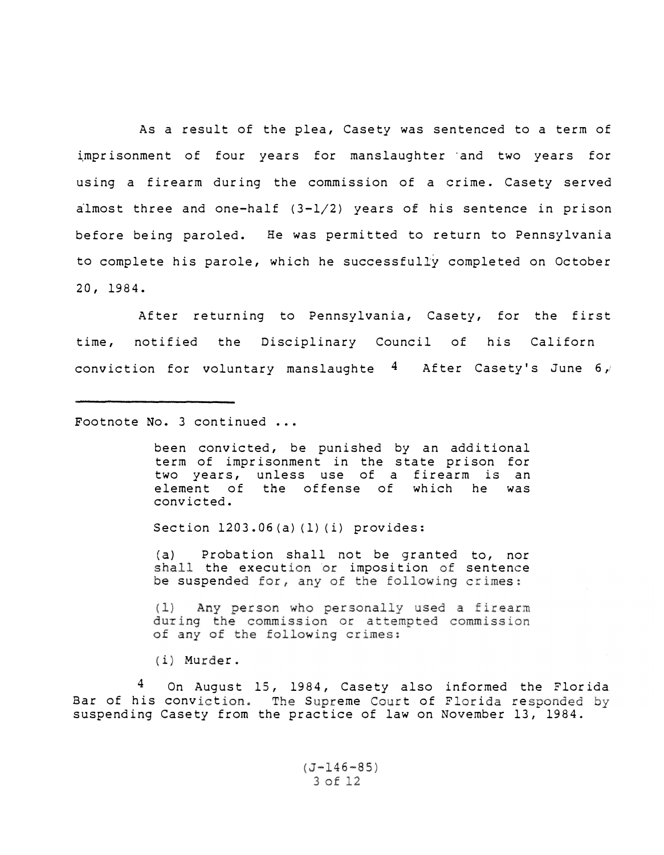As a result of the plea, Casety was sentenced to a term of imprisonment of four years for manslaughter and two years for using a firearm during the commission of a crime. Casety served almost three and one-half (3-1/2) years of his sentence in prison before being paroled. He was permitted to return to Pennsylvania to complete his parole, which he successfully completed on October 20, 1984.

time, After returning to Pennsylvania, Casety, for the first notified the Disciplinary Council of his Californ conviction for voluntary manslaughte  $4$  After Casety's June 6,

Footnote No. 3 continued ...

been convicted, be punished by an additional term of imprisonment in the state prison for two years, unless use of a firearm *is* an element of the offense of which convicted.

Section 1203.06(a) (1) (i) provides:

**(a)** Probation shall not be granted to, nor the execution or imposition of sentence suspended for, any of the following crimes

(1) Any person who personally used a firearm during the commission or attempted commission of any of the following crimes:

(i) Murder.

**4**  On August 15, 1984, Casety also informed the Florida Bar of his conviction. The Supreme Court of Florida responded by suspending Casety from the practice of law on November 13, 1984.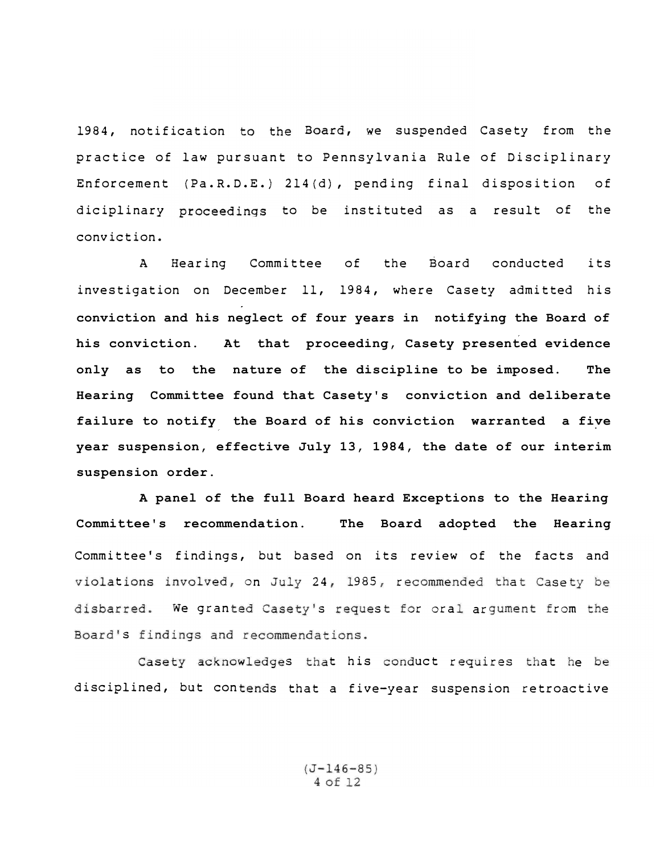1984, notification to the Board, we suspended Casety from the practice of law pursuant to Pennsylvania Rule of Disciplinary Enforcement (Pa.R.D.E.) 214(d), pending final disposition of diciplinary proceedings to be instituted as a result of the conviction.

A Hearing Committee of the Board conducted its investigation on December 11, 1984, where Casety admitted his **conviction and his neglect of four years in notifying the Board of his conviction. At that proceeding, Casety presented evidence only as to the nature of the discipline to be imposed. The Hearing Committee found that Casety's conviction and deliberate failure to notify the Board of his conviction warranted a five year suspension, effective July 13, 1984, the date of our interim suspension order.**

Committee's findings, but based on its review of the facts and tions involved, on July 24, 1985, recommended that Case We granted Casety's request for oral argument from the Board's findings and recommendations.  **A panel of the full Board heard Exceptions to the Hearing Committee's recommendation. The Board adopted the Hearing**

disciplined, but contends that a five-year suspension retroactive s that his conduct requires that he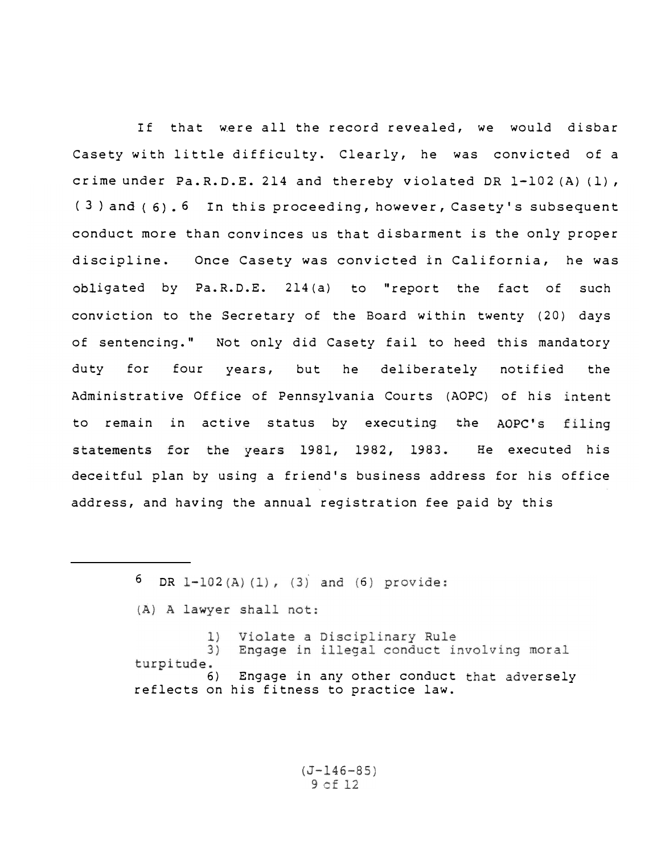If that were all the record revealed, we would disbar Casety with little difficulty. Clearly, he was convicted of a crime under Pa.R.D.E. 214 and thereby violated DR 1-102 (A) (1), (3) and (6). 6 In this proceeding, however, Casety's subsequent conduct more than convinces us that disbarment is the only proper discipline. Once Casety was convicted in California, he was $obligated$  by  $Pa.R.D.E. 214 (a)$  to "report the fact of such conviction to the Secretary of the Board within twenty ( 20) days of sentencing." Not only did Casety fail to heed this mandatory duty for four years, but he deliberately notified the Administrative Office of Pennsylvania Courts (AOPC) of his to remain in active status by executing the filing statements for the years 1981, 1982, 1983. He executed his deceitful plan by using a friend's business address for his office address, and having the annual registration fee paid by this

> 6 DR 1-102(A)(1), (3) and (6) provide: (A) A lawyer shall not: Violate a Disciplinary Rule  $\perp$  $3)$ Engage in illegal conduct involving moral turpitude. 6) Engage in any other conduct that adversely reflects on his fitness to practice law.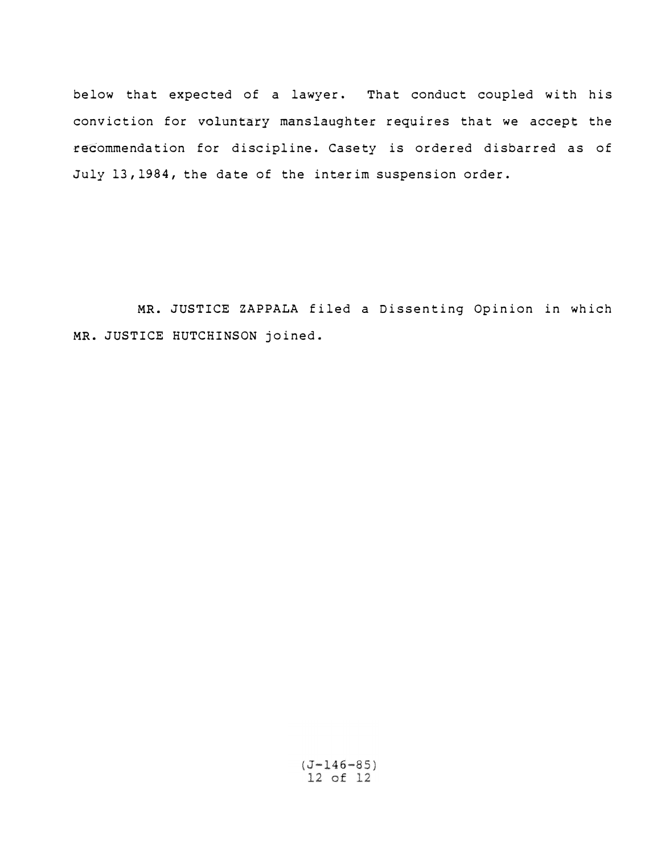below that expected of a lawyer. That conduct coupled with his conviction for voluntary manslaughter requires that we accept the recommendation for discipline. Casety is ordered disbarred as of July 13, 1984, the date of the interim suspension order.

MR. JUSTICE ZAPPALA filed a Dissenting Opinion in which MR. JUSTICE HUTCHINSON joined.